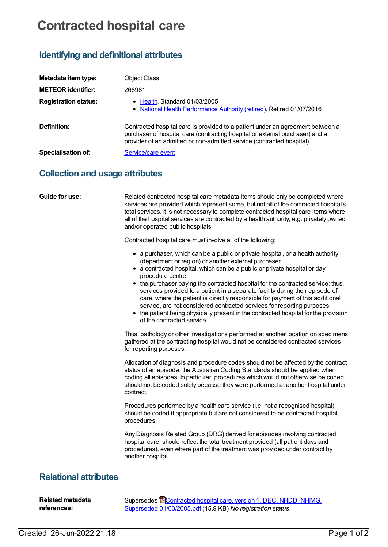## **Contracted hospital care**

## **Identifying and definitional attributes**

| Metadata item type:                    | <b>Object Class</b>                                                                                                                                                                                                                       |
|----------------------------------------|-------------------------------------------------------------------------------------------------------------------------------------------------------------------------------------------------------------------------------------------|
| <b>METEOR identifier:</b>              | 268981                                                                                                                                                                                                                                    |
| <b>Registration status:</b>            | • Health, Standard 01/03/2005<br>• National Health Performance Authority (retired), Retired 01/07/2016                                                                                                                                    |
| Definition:                            | Contracted hospital care is provided to a patient under an agreement between a<br>purchaser of hospital care (contracting hospital or external purchaser) and a<br>provider of an admitted or non-admitted service (contracted hospital). |
| <b>Specialisation of:</b>              | Service/care event                                                                                                                                                                                                                        |
| <b>Collection and usage attributes</b> |                                                                                                                                                                                                                                           |

| Guide for use:               | Related contracted hospital care metadata items should only be completed where<br>services are provided which represent some, but not all of the contracted hospital's<br>total services. It is not necessary to complete contracted hospital care items where<br>all of the hospital services are contracted by a health authority, e.g. privately owned<br>and/or operated public hospitals.<br>Contracted hospital care must involve all of the following:                                                                                                                                                                                                                                  |
|------------------------------|------------------------------------------------------------------------------------------------------------------------------------------------------------------------------------------------------------------------------------------------------------------------------------------------------------------------------------------------------------------------------------------------------------------------------------------------------------------------------------------------------------------------------------------------------------------------------------------------------------------------------------------------------------------------------------------------|
|                              | • a purchaser, which can be a public or private hospital, or a health authority<br>(department or region) or another external purchaser<br>• a contracted hospital, which can be a public or private hospital or day<br>procedure centre<br>• the purchaser paying the contracted hospital for the contracted service; thus,<br>services provided to a patient in a separate facility during their episode of<br>care, where the patient is directly responsible for payment of this additional<br>service, are not considered contracted services for reporting purposes<br>• the patient being physically present in the contracted hospital for the provision<br>of the contracted service. |
|                              | Thus, pathology or other investigations performed at another location on specimens<br>gathered at the contracting hospital would not be considered contracted services<br>for reporting purposes.                                                                                                                                                                                                                                                                                                                                                                                                                                                                                              |
|                              | Allocation of diagnosis and procedure codes should not be affected by the contract<br>status of an episode: the Australian Coding Standards should be applied when<br>coding all episodes. In particular, procedures which would not otherwise be coded<br>should not be coded solely because they were performed at another hospital under<br>contract.                                                                                                                                                                                                                                                                                                                                       |
|                              | Procedures performed by a health care service (i.e. not a recognised hospital)<br>should be coded if appropriate but are not considered to be contracted hospital<br>procedures.                                                                                                                                                                                                                                                                                                                                                                                                                                                                                                               |
|                              | Any Diagnosis Related Group (DRG) derived for episodes involving contracted<br>hospital care, should reflect the total treatment provided (all patient days and<br>procedures), even where part of the treatment was provided under contract by<br>another hospital.                                                                                                                                                                                                                                                                                                                                                                                                                           |
| <b>Relational attributes</b> |                                                                                                                                                                                                                                                                                                                                                                                                                                                                                                                                                                                                                                                                                                |

| Related metadata | Supersedes <b>EContracted hospital care, version 1, DEC, NHDD, NHIMG,</b> |
|------------------|---------------------------------------------------------------------------|
| references:      | Superseded 01/03/2005.pdf (15.9 KB) No registration status                |